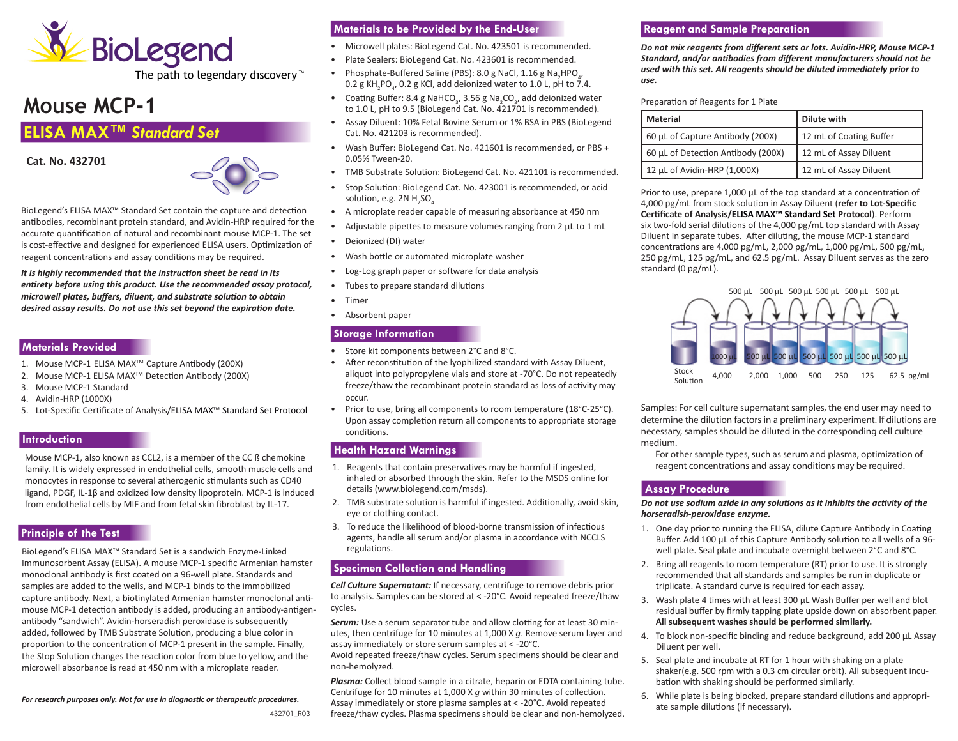

The path to legendary discovery<sup>™</sup>

# **Mouse MCP-1**

# **ELISA MAX™** *Standard Set*

**Cat. No. 432701** 



BioLegend's ELISA MAX™ Standard Set contain the capture and detection antibodies, recombinant protein standard, and Avidin-HRP required for the accurate quantification of natural and recombinant mouse MCP-1. The set is cost-effective and designed for experienced ELISA users. Optimization of reagent concentrations and assay conditions may be required.

*It is highly recommended that the instruction sheet be read in its entirety before using this product. Use the recommended assay protocol, microwell plates, buffers, diluent, and substrate solution to obtain desired assay results. Do not use this set beyond the expiration date.*

#### **Materials Provided**

- 1. Mouse MCP-1 ELISA MAX<sup>™</sup> Capture Antibody (200X)
- 2. Mouse MCP-1 ELISA MAX™ Detection Antibody (200X)
- 3. Mouse MCP-1 Standard
- 4. Avidin-HRP (1000X)
- 5. Lot-Specific Certificate of Analysis/ELISA MAX™ Standard Set Protocol

#### **Introduction**

Mouse MCP-1, also known as CCL2, is a member of the CC ß chemokine family. It is widely expressed in endothelial cells, smooth muscle cells and monocytes in response to several atherogenic stimulants such as CD40 ligand, PDGF, IL-1β and oxidized low density lipoprotein. MCP-1 is induced from endothelial cells by MIF and from fetal skin fibroblast by IL-17.

#### **Principle of the Test**

BioLegend's ELISA MAX™ Standard Set is a sandwich Enzyme-Linked Immunosorbent Assay (ELISA). A mouse MCP-1 specific Armenian hamster monoclonal antibody is first coated on a 96-well plate. Standards and samples are added to the wells, and MCP-1 binds to the immobilized capture antibody. Next, a biotinylated Armenian hamster monoclonal antimouse MCP-1 detection antibody is added, producing an antibody-antigenantibody "sandwich". Avidin-horseradish peroxidase is subsequently added, followed by TMB Substrate Solution, producing a blue color in proportion to the concentration of MCP-1 present in the sample. Finally, the Stop Solution changes the reaction color from blue to yellow, and the microwell absorbance is read at 450 nm with a microplate reader.

*For research purposes only. Not for use in diagnostic or therapeutic procedures.* 

## **Materials to be Provided by the End-User**

- Microwell plates: BioLegend Cat. No. 423501 is recommended.
- Plate Sealers: BioLegend Cat. No. 423601 is recommended.
- Phosphate-Buffered Saline (PBS): 8.0 g NaCl, 1.16 g Na<sub>2</sub>HPO<sub>4</sub>, 0.2 g KH<sub>2</sub>PO<sub>4</sub>, 0.2 g KCl, add deionized water to 1.0 L, pH to 7.4.
- Coating Buffer: 8.4 g NaHCO<sub>3</sub>, 3.56 g Na<sub>2</sub>CO<sub>3</sub>, add deionized water to 1.0 L, pH to 9.5 (BioLegend Cat. No. 421701 is recommended).
- Assay Diluent: 10% Fetal Bovine Serum or 1% BSA in PBS (BioLegend Cat. No. 421203 is recommended).
- Wash Buffer: BioLegend Cat. No. 421601 is recommended, or PBS + 0.05% Tween-20.
- TMB Substrate Solution: BioLegend Cat. No. 421101 is recommended.
- Stop Solution: BioLegend Cat. No. 423001 is recommended, or acid solution, e.g. 2N  $H_2$ SO $_4$
- A microplate reader capable of measuring absorbance at 450 nm
- Adjustable pipettes to measure volumes ranging from 2 μL to 1 mL
- Deionized (DI) water
- Wash bottle or automated microplate washer
- Log-Log graph paper or software for data analysis
- Tubes to prepare standard dilutions
- Timer
- Absorbent paper

#### **Storage Information**

- Store kit components between 2°C and 8°C.
- After reconstitution of the lyophilized standard with Assay Diluent, aliquot into polypropylene vials and store at -70°C. Do not repeatedly freeze/thaw the recombinant protein standard as loss of activity may occur.
- Prior to use, bring all components to room temperature (18°C-25°C). Upon assay completion return all components to appropriate storage conditions.

#### **Health Hazard Warnings**

- 1. Reagents that contain preservatives may be harmful if ingested, inhaled or absorbed through the skin. Refer to the MSDS online for details (www.biolegend.com/msds).
- 2. TMB substrate solution is harmful if ingested. Additionally, avoid skin, eye or clothing contact.
- 3. To reduce the likelihood of blood-borne transmission of infectious agents, handle all serum and/or plasma in accordance with NCCLS regulations.

## **Specimen Collection and Handling**

*Cell Culture Supernatant:* If necessary, centrifuge to remove debris prior to analysis. Samples can be stored at < -20°C. Avoid repeated freeze/thaw cycles.

**Serum:** Use a serum separator tube and allow clotting for at least 30 minutes, then centrifuge for 10 minutes at 1,000 X *g*. Remove serum layer and assay immediately or store serum samples at < -20°C.

Avoid repeated freeze/thaw cycles. Serum specimens should be clear and non-hemolyzed.

*Plasma:* Collect blood sample in a citrate, heparin or EDTA containing tube. Centrifuge for 10 minutes at 1,000 X *g* within 30 minutes of collection. Assay immediately or store plasma samples at < -20°C. Avoid repeated freeze/thaw cycles. Plasma specimens should be clear and non-hemolyzed.

#### **Reagent and Sample Preparation**

*Do not mix reagents from different sets or lots. Avidin-HRP, Mouse MCP-1 Standard, and/or antibodies from different manufacturers should not be used with this set. All reagents should be diluted immediately prior to use.*

#### Preparation of Reagents for 1 Plate

| Material                           | Dilute with             |
|------------------------------------|-------------------------|
| 60 µL of Capture Antibody (200X)   | 12 mL of Coating Buffer |
| 60 µL of Detection Antibody (200X) | 12 mL of Assay Diluent  |
| 12 µL of Avidin-HRP (1,000X)       | 12 mL of Assay Diluent  |

Prior to use, prepare 1,000 μL of the top standard at a concentration of 4,000 pg/mL from stock solution in Assay Diluent (**refer to Lot-Specific Certificate of Analysis/ELISA MAX™ Standard Set Protocol**). Perform six two-fold serial dilutions of the 4,000 pg/mL top standard with Assay Diluent in separate tubes. After diluting, the mouse MCP-1 standard concentrations are 4,000 pg/mL, 2,000 pg/mL, 1,000 pg/mL, 500 pg/mL, 250 pg/mL, 125 pg/mL, and 62.5 pg/mL. Assay Diluent serves as the zero standard (0 pg/mL).



Samples: For cell culture supernatant samples, the end user may need to determine the dilution factors in a preliminary experiment. If dilutions are necessary, samples should be diluted in the corresponding cell culture medium.

For other sample types, such as serum and plasma, optimization of reagent concentrations and assay conditions may be required.

## **Assay Procedure**

*Do not use sodium azide in any solutions as it inhibits the activity of the horseradish-peroxidase enzyme.* 

- 1. One day prior to running the ELISA, dilute Capture Antibody in Coating Buffer. Add 100 μL of this Capture Antibody solution to all wells of a 96 well plate. Seal plate and incubate overnight between 2°C and 8°C.
- 2. Bring all reagents to room temperature (RT) prior to use. It is strongly recommended that all standards and samples be run in duplicate or triplicate. A standard curve is required for each assay.
- 3. Wash plate 4 times with at least 300 μL Wash Buffer per well and blot residual buffer by firmly tapping plate upside down on absorbent paper. **All subsequent washes should be performed similarly.**
- 4. To block non-specific binding and reduce background, add 200 μL Assay Diluent per well.
- 5. Seal plate and incubate at RT for 1 hour with shaking on a plate shaker(e.g. 500 rpm with a 0.3 cm circular orbit). All subsequent incubation with shaking should be performed similarly.
- 6. While plate is being blocked, prepare standard dilutions and appropriate sample dilutions (if necessary).